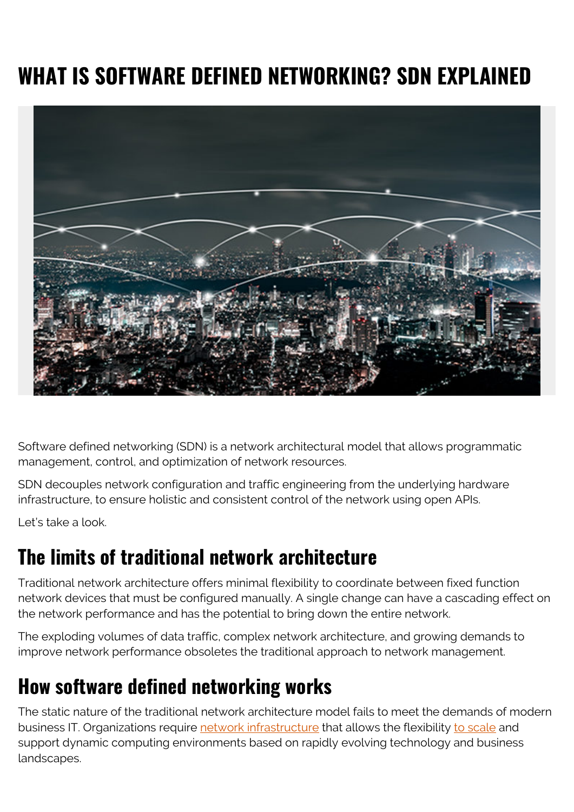## **WHAT IS SOFTWARE DEFINED NETWORKING? SDN EXPLAINED**



Software defined networking (SDN) is a network architectural model that allows programmatic management, control, and optimization of network resources.

SDN decouples network configuration and traffic engineering from the underlying hardware infrastructure, to ensure holistic and consistent control of the network using open APIs.

Let's take a look.

### **The limits of traditional network architecture**

Traditional network architecture offers minimal flexibility to coordinate between fixed function network devices that must be configured manually. A single change can have a cascading effect on the network performance and has the potential to bring down the entire network.

The exploding volumes of data traffic, complex network architecture, and growing demands to improve network performance obsoletes the traditional approach to network management.

## **How software defined networking works**

The static nature of the traditional network architecture model fails to meet the demands of modern business IT. Organizations require [network infrastructure](https://blogs.bmc.com/blogs/what-is-it-infrastructure-and-what-are-its-components/) that allows the flexibility [to scale](https://blogs.bmc.com/blogs/scalability-introduction/) and support dynamic computing environments based on rapidly evolving technology and business landscapes.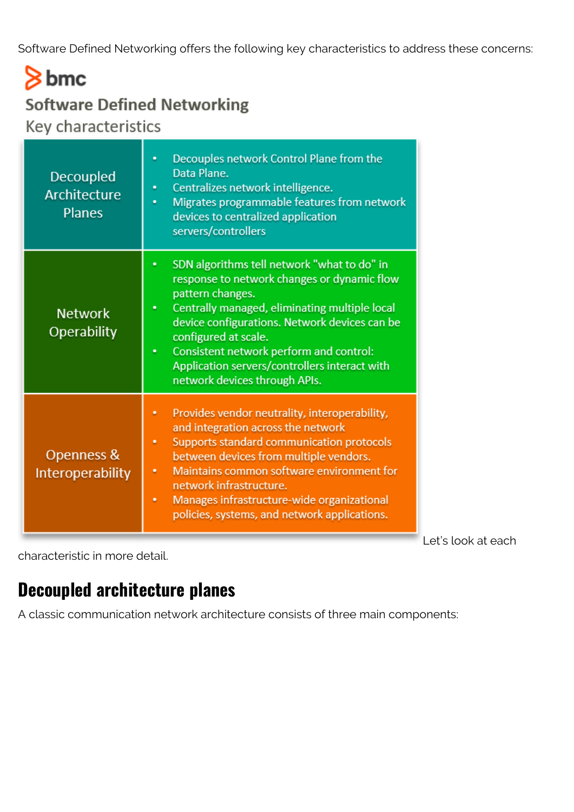Software Defined Networking offers the following key characteristics to address these concerns:

## $8<sub>bmc</sub>$ **Software Defined Networking** Key characteristics

Decouples network Control Plane from the ò. Data Plane. Decoupled Centralizes network intelligence. Architecture Migrates programmable features from network **Planes** devices to centralized application servers/controllers ¥. SDN algorithms tell network "what to do" in response to network changes or dynamic flow pattern changes. Centrally managed, eliminating multiple local **Network** device configurations. Network devices can be Operability configured at scale. Consistent network perform and control: ٠ Application servers/controllers interact with network devices through APIs. Provides vendor neutrality, interoperability, and integration across the network Supports standard communication protocols Openness & between devices from multiple vendors. Maintains common software environment for Interoperability network infrastructure. Manages infrastructure-wide organizational policies, systems, and network applications.

Let's look at each

characteristic in more detail.

#### **Decoupled architecture planes**

A classic communication network architecture consists of three main components: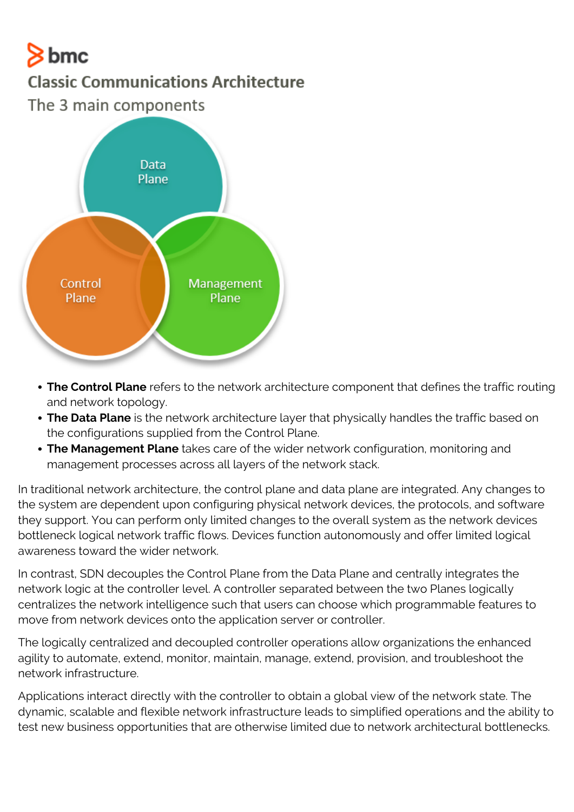# $8<sub>bmc</sub>$

#### **Classic Communications Architecture**

The 3 main components



- **The Control Plane** refers to the network architecture component that defines the traffic routing and network topology.
- **The Data Plane** is the network architecture layer that physically handles the traffic based on the configurations supplied from the Control Plane.
- **The Management Plane** takes care of the wider network configuration, monitoring and management processes across all layers of the network stack.

In traditional network architecture, the control plane and data plane are integrated. Any changes to the system are dependent upon configuring physical network devices, the protocols, and software they support. You can perform only limited changes to the overall system as the network devices bottleneck logical network traffic flows. Devices function autonomously and offer limited logical awareness toward the wider network.

In contrast, SDN decouples the Control Plane from the Data Plane and centrally integrates the network logic at the controller level. A controller separated between the two Planes logically centralizes the network intelligence such that users can choose which programmable features to move from network devices onto the application server or controller.

The logically centralized and decoupled controller operations allow organizations the enhanced agility to automate, extend, monitor, maintain, manage, extend, provision, and troubleshoot the network infrastructure.

Applications interact directly with the controller to obtain a global view of the network state. The dynamic, scalable and flexible network infrastructure leads to simplified operations and the ability to test new business opportunities that are otherwise limited due to network architectural bottlenecks.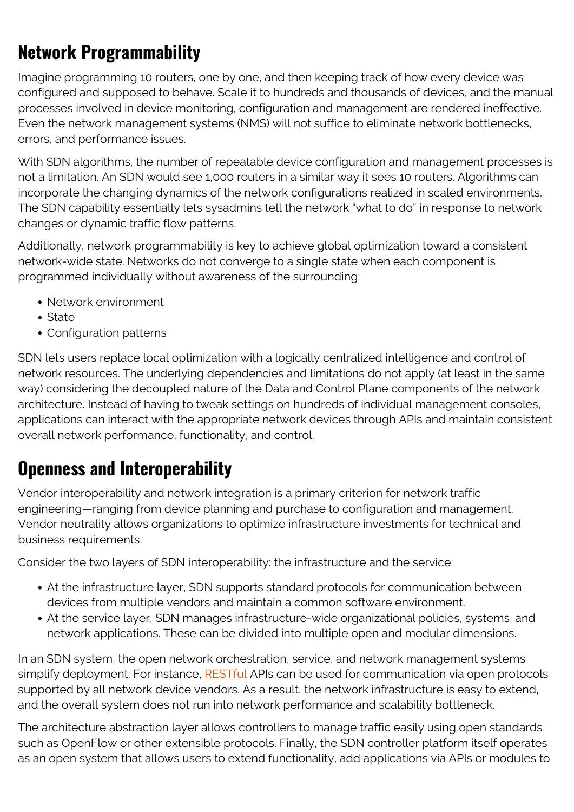## **Network Programmability**

Imagine programming 10 routers, one by one, and then keeping track of how every device was configured and supposed to behave. Scale it to hundreds and thousands of devices, and the manual processes involved in device monitoring, configuration and management are rendered ineffective. Even the network management systems (NMS) will not suffice to eliminate network bottlenecks, errors, and performance issues.

With SDN algorithms, the number of repeatable device configuration and management processes is not a limitation. An SDN would see 1,000 routers in a similar way it sees 10 routers. Algorithms can incorporate the changing dynamics of the network configurations realized in scaled environments. The SDN capability essentially lets sysadmins tell the network "what to do" in response to network changes or dynamic traffic flow patterns.

Additionally, network programmability is key to achieve global optimization toward a consistent network-wide state. Networks do not converge to a single state when each component is programmed individually without awareness of the surrounding:

- Network environment
- State
- Configuration patterns

SDN lets users replace local optimization with a logically centralized intelligence and control of network resources. The underlying dependencies and limitations do not apply (at least in the same way) considering the decoupled nature of the Data and Control Plane components of the network architecture. Instead of having to tweak settings on hundreds of individual management consoles, applications can interact with the appropriate network devices through APIs and maintain consistent overall network performance, functionality, and control.

#### **Openness and Interoperability**

Vendor interoperability and network integration is a primary criterion for network traffic engineering—ranging from device planning and purchase to configuration and management. Vendor neutrality allows organizations to optimize infrastructure investments for technical and business requirements.

Consider the two layers of SDN interoperability: the infrastructure and the service:

- At the infrastructure layer, SDN supports standard protocols for communication between devices from multiple vendors and maintain a common software environment.
- At the service layer, SDN manages infrastructure-wide organizational policies, systems, and network applications. These can be divided into multiple open and modular dimensions.

In an SDN system, the open network orchestration, service, and network management systems simplify deployment. For instance, [RESTful](https://blogs.bmc.com/blogs/rest-vs-crud-whats-the-difference/) APIs can be used for communication via open protocols supported by all network device vendors. As a result, the network infrastructure is easy to extend, and the overall system does not run into network performance and scalability bottleneck.

The architecture abstraction layer allows controllers to manage traffic easily using open standards such as OpenFlow or other extensible protocols. Finally, the SDN controller platform itself operates as an open system that allows users to extend functionality, add applications via APIs or modules to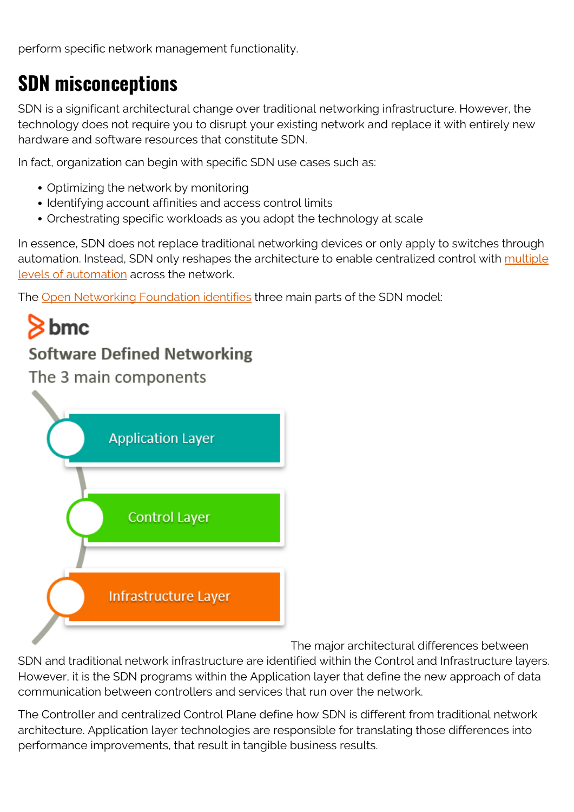perform specific network management functionality.

## **SDN misconceptions**

SDN is a significant architectural change over traditional networking infrastructure. However, the technology does not require you to disrupt your existing network and replace it with entirely new hardware and software resources that constitute SDN.

In fact, organization can begin with specific SDN use cases such as:

- Optimizing the network by monitoring
- Identifying account affinities and access control limits
- Orchestrating specific workloads as you adopt the technology at scale

In essence, SDN does not replace traditional networking devices or only apply to switches through automation. Instead, SDN only reshapes the architecture to enable centralized control with [multiple](https://blogs.bmc.com/blogs/it-orchestration-vs-automation-whats-the-difference/) [levels of automation](https://blogs.bmc.com/blogs/it-orchestration-vs-automation-whats-the-difference/) across the network.

The [Open Networking Foundation identifies](https://www.opennetworking.org/sdn-definition/) three main parts of the SDN model:



The major architectural differences between SDN and traditional network infrastructure are identified within the Control and Infrastructure layers. However, it is the SDN programs within the Application layer that define the new approach of data communication between controllers and services that run over the network.

The Controller and centralized Control Plane define how SDN is different from traditional network architecture. Application layer technologies are responsible for translating those differences into performance improvements, that result in tangible business results.